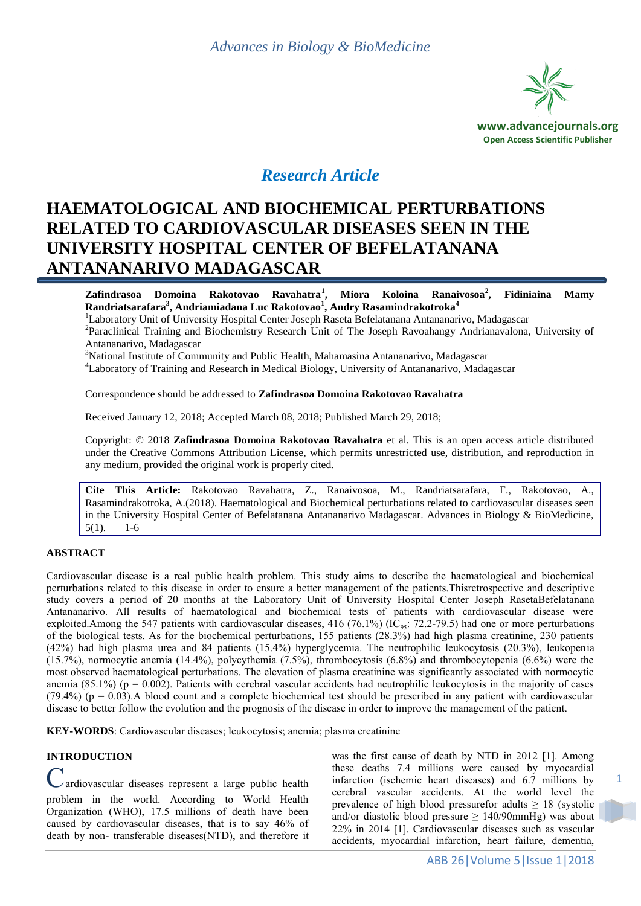

## *Research Article*

# **HAEMATOLOGICAL AND BIOCHEMICAL PERTURBATIONS RELATED TO CARDIOVASCULAR DISEASES SEEN IN THE UNIVERSITY HOSPITAL CENTER OF BEFELATANANA ANTANANARIVO MADAGASCAR**

**Zafindrasoa Domoina Rakotovao Ravahatra<sup>1</sup> , Miora Koloina Ranaivosoa<sup>2</sup> , Fidiniaina Mamy Randriatsarafara<sup>3</sup> , Andriamiadana Luc Rakotovao<sup>1</sup> , Andry Rasamindrakotroka<sup>4</sup>**

<sup>1</sup>Laboratory Unit of University Hospital Center Joseph Raseta Befelatanana Antananarivo, Madagascar <sup>2</sup>Paraclinical Training and Biochemistry Research Unit of The Joseph Ravoahangy Andrianavalona, University of Antananarivo, Madagascar

 $3$ National Institute of Community and Public Health, Mahamasina Antananarivo, Madagascar

<sup>4</sup>Laboratory of Training and Research in Medical Biology, University of Antananarivo, Madagascar

Correspondence should be addressed to **Zafindrasoa Domoina Rakotovao Ravahatra**

Received January 12, 2018; Accepted March 08, 2018; Published March 29, 2018;

Copyright: © 2018 **Zafindrasoa Domoina Rakotovao Ravahatra** et al. This is an open access article distributed under the Creative Commons Attribution License, which permits unrestricted use, distribution, and reproduction in any medium, provided the original work is properly cited.

**Cite This Article:** Rakotovao Ravahatra, Z., Ranaivosoa, M., Randriatsarafara, F., Rakotovao, A., Rasamindrakotroka, A.(2018). Haematological and Biochemical perturbations related to cardiovascular diseases seen in the University Hospital Center of Befelatanana Antananarivo Madagascar. Advances in Biology & BioMedicine, 5(1). 1-6

#### **ABSTRACT**

Cardiovascular disease is a real public health problem. This study aims to describe the haematological and biochemical perturbations related to this disease in order to ensure a better management of the patients.Thisretrospective and descriptive study covers a period of 20 months at the Laboratory Unit of University Hospital Center Joseph RasetaBefelatanana Antananarivo. All results of haematological and biochemical tests of patients with cardiovascular disease were exploited.Among the 547 patients with cardiovascular diseases, 416 (76.1%) ( $IC_{.95}$ : 72.2-79.5) had one or more perturbations of the biological tests. As for the biochemical perturbations, 155 patients (28.3%) had high plasma creatinine, 230 patients (42%) had high plasma urea and 84 patients (15.4%) hyperglycemia. The neutrophilic leukocytosis (20.3%), leukopenia (15.7%), normocytic anemia (14.4%), polycythemia (7.5%), thrombocytosis (6.8%) and thrombocytopenia (6.6%) were the most observed haematological perturbations. The elevation of plasma creatinine was significantly associated with normocytic anemia (85.1%) ( $p = 0.002$ ). Patients with cerebral vascular accidents had neutrophilic leukocytosis in the majority of cases  $(79.4\%)$  (p = 0.03). A blood count and a complete biochemical test should be prescribed in any patient with cardiovascular disease to better follow the evolution and the prognosis of the disease in order to improve the management of the patient.

**KEY-WORDS**: Cardiovascular diseases; leukocytosis; anemia; plasma creatinine

#### **INTRODUCTION**

ardiovascular diseases represent a large public health problem in the world. According to World Health Organization (WHO), 17.5 millions of death have been caused by cardiovascular diseases, that is to say 46% of death by non- transferable diseases(NTD), and therefore it was the first cause of death by NTD in 2012 [1]. Among these deaths 7.4 millions were caused by myocardial infarction (ischemic heart diseases) and 6.7 millions by cerebral vascular accidents. At the world level the prevalence of high blood pressurefor adults  $\geq 18$  (systolic and/or diastolic blood pressure  $\geq 140/90$ mmHg) was about 22% in 2014 [1]. Cardiovascular diseases such as vascular accidents, myocardial infarction, heart failure, dementia,

1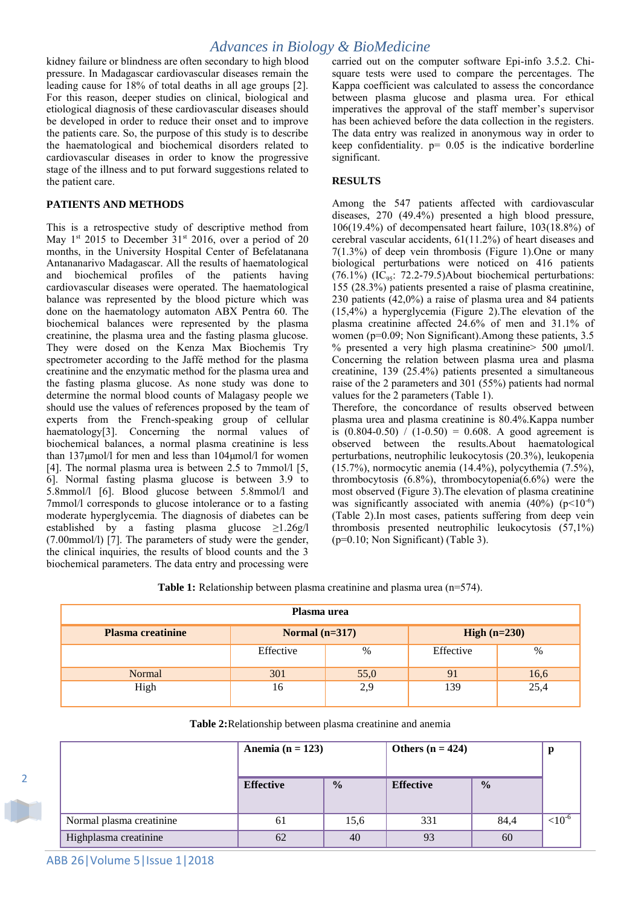kidney failure or blindness are often secondary to high blood pressure. In Madagascar cardiovascular diseases remain the leading cause for 18% of total deaths in all age groups [2]. For this reason, deeper studies on clinical, biological and etiological diagnosis of these cardiovascular diseases should be developed in order to reduce their onset and to improve the patients care. So, the purpose of this study is to describe the haematological and biochemical disorders related to cardiovascular diseases in order to know the progressive stage of the illness and to put forward suggestions related to the patient care.

## **PATIENTS AND METHODS**

This is a retrospective study of descriptive method from May  $1^{st}$  2015 to December 31<sup>st</sup> 2016, over a period of 20 months, in the University Hospital Center of Befelatanana Antananarivo Madagascar. All the results of haematological and biochemical profiles of the patients having cardiovascular diseases were operated. The haematological balance was represented by the blood picture which was done on the haematology automaton ABX Pentra 60. The biochemical balances were represented by the plasma creatinine, the plasma urea and the fasting plasma glucose. They were dosed on the Kenza Max Biochemis Try spectrometer according to the Jaffé method for the plasma creatinine and the enzymatic method for the plasma urea and the fasting plasma glucose. As none study was done to determine the normal blood counts of Malagasy people we should use the values of references proposed by the team of experts from the French-speaking group of cellular haematology[3]. Concerning the normal values of biochemical balances, a normal plasma creatinine is less than 137µmol/l for men and less than 104µmol/l for women [4]. The normal plasma urea is between 2.5 to 7mmol/l [5,] 6]. Normal fasting plasma glucose is between 3.9 to 5.8mmol/l [6]. Blood glucose between 5.8mmol/l and 7mmol/l corresponds to glucose intolerance or to a fasting moderate hyperglycemia. The diagnosis of diabetes can be established by a fasting plasma glucose  $\geq$ 1.26g/l (7.00mmol/l) [7]. The parameters of study were the gender, the clinical inquiries, the results of blood counts and the 3 biochemical parameters. The data entry and processing were carried out on the computer software Epi-info 3.5.2. Chisquare tests were used to compare the percentages. The Kappa coefficient was calculated to assess the concordance between plasma glucose and plasma urea. For ethical imperatives the approval of the staff member's supervisor has been achieved before the data collection in the registers. The data entry was realized in anonymous way in order to keep confidentiality.  $p= 0.05$  is the indicative borderline significant.

## **RESULTS**

Among the 547 patients affected with cardiovascular diseases, 270 (49.4%) presented a high blood pressure, 106(19.4%) of decompensated heart failure, 103(18.8%) of cerebral vascular accidents, 61(11.2%) of heart diseases and 7(1.3%) of deep vein thrombosis (Figure 1).One or many biological perturbations were noticed on 416 patients (76.1%) (IC<sub>95</sub>: 72.2-79.5)About biochemical perturbations: 155 (28.3%) patients presented a raise of plasma creatinine, 230 patients (42,0%) a raise of plasma urea and 84 patients (15,4%) a hyperglycemia (Figure 2).The elevation of the plasma creatinine affected 24.6% of men and 31.1% of women (p=0.09; Non Significant).Among these patients, 3.5 % presented a very high plasma creatinine> 500 µmol/l. Concerning the relation between plasma urea and plasma creatinine, 139 (25.4%) patients presented a simultaneous raise of the 2 parameters and 301 (55%) patients had normal values for the 2 parameters (Table 1).

Therefore, the concordance of results observed between plasma urea and plasma creatinine is 80.4%.Kappa number is  $(0.804 - 0.50) / (1 - 0.50) = 0.608$ . A good agreement is observed between the results.About haematological perturbations, neutrophilic leukocytosis (20.3%), leukopenia (15.7%), normocytic anemia (14.4%), polycythemia (7.5%), thrombocytosis  $(6.8\%)$ , thrombocytopenia $(6.6\%)$  were the most observed (Figure 3).The elevation of plasma creatinine was significantly associated with anemia  $(40\%) (p<10^{-6})$ (Table 2).In most cases, patients suffering from deep vein thrombosis presented neutrophilic leukocytosis (57,1%) (p=0.10; Non Significant) (Table 3).

**Table 1:** Relationship between plasma creatinine and plasma urea (n=574).

| Plasma urea              |                  |      |                |      |  |  |  |
|--------------------------|------------------|------|----------------|------|--|--|--|
| <b>Plasma creatinine</b> | Normal $(n=317)$ |      | High $(n=230)$ |      |  |  |  |
|                          | Effective        | %    | Effective      | $\%$ |  |  |  |
| Normal                   | 301              | 55,0 | 91             | 16,6 |  |  |  |
| High                     | 16               | 2,9  | 139            | 25,4 |  |  |  |

|                          | Anemia ( $n = 123$ ) |               | Others $(n = 424)$ |               |              |
|--------------------------|----------------------|---------------|--------------------|---------------|--------------|
|                          | <b>Effective</b>     | $\frac{0}{0}$ | <b>Effective</b>   | $\frac{0}{0}$ |              |
| Normal plasma creatinine | 61                   | 15,6          | 331                | 84,4          | ${<}10^{-6}$ |
| Highplasma creatinine    | 62                   | 40            | 93                 | 60            |              |

2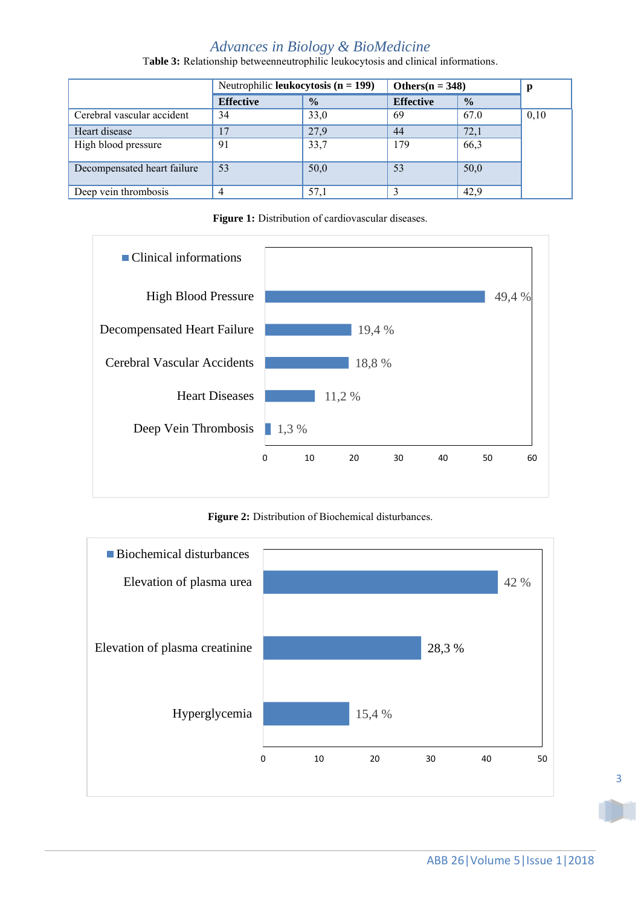## *Advances in Biology & BioMedicine* T**able 3:** Relationship betweenneutrophilic leukocytosis and clinical informations.

Neutrophilic **leukocytosis**  $(n = 199)$  **Others** $(n = 348)$  **p Effective % Effective %** Cerebral vascular accident  $\begin{array}{|l|c|c|c|c|c|c|c|c|} \hline 33,0 & 69 & 67.0 & 0,10 \\ \hline \end{array}$ Heart disease 17 17 27,9 44 72,1 High blood pressure 91 33,7 179 66,3 Decompensated heart failure 53 50,0 53 50,0 Deep vein thrombosis  $\begin{array}{|c|c|c|c|c|c|} \hline 4 & 57,1 & \bar{3} & 42,9 \ \hline \end{array}$ 





**Figure 2:** Distribution of Biochemical disturbances.

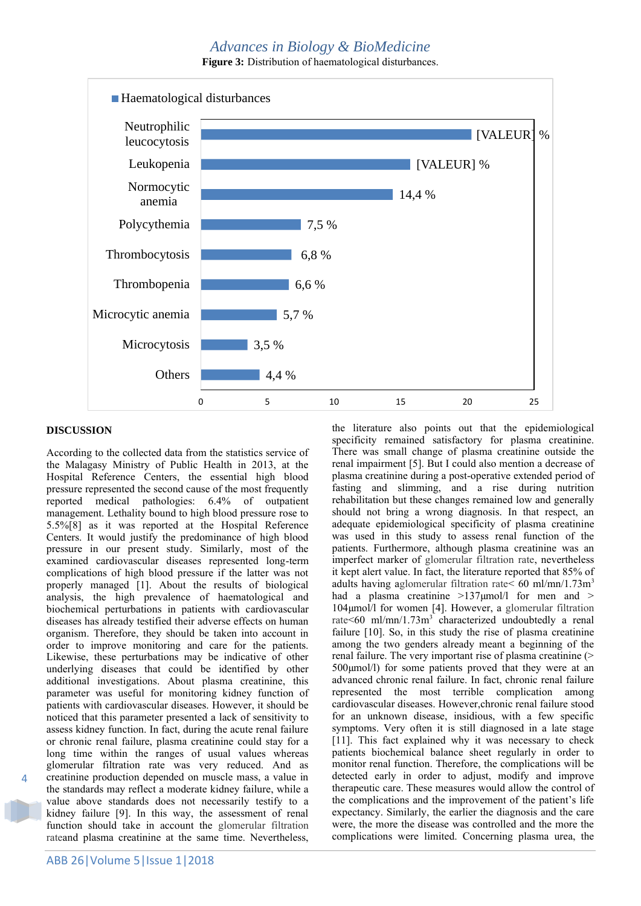## *Advances in Biology & BioMedicine*

**Figure 3:** Distribution of haematological disturbances.



## **DISCUSSION**

4

According to the collected data from the statistics service of the Malagasy Ministry of Public Health in 2013, at the Hospital Reference Centers, the essential high blood pressure represented the second cause of the most frequently reported medical pathologies: 6.4% of outpatient management. Lethality bound to high blood pressure rose to 5.5%[8] as it was reported at the Hospital Reference Centers. It would justify the predominance of high blood pressure in our present study. Similarly, most of the examined cardiovascular diseases represented long-term complications of high blood pressure if the latter was not properly managed [1]. About the results of biological analysis, the high prevalence of haematological and biochemical perturbations in patients with cardiovascular diseases has already testified their adverse effects on human organism. Therefore, they should be taken into account in order to improve monitoring and care for the patients. Likewise, these perturbations may be indicative of other underlying diseases that could be identified by other additional investigations. About plasma creatinine, this parameter was useful for monitoring kidney function of patients with cardiovascular diseases. However, it should be noticed that this parameter presented a lack of sensitivity to assess kidney function. In fact, during the acute renal failure or chronic renal failure, plasma creatinine could stay for a long time within the ranges of usual values whereas glomerular filtration rate was very reduced. And as creatinine production depended on muscle mass, a value in the standards may reflect a moderate kidney failure, while a value above standards does not necessarily testify to a kidney failure [9]. In this way, the assessment of renal function should take in account the glomerular filtration rateand plasma creatinine at the same time. Nevertheless,

the literature also points out that the epidemiological specificity remained satisfactory for plasma creatinine. There was small change of plasma creatinine outside the renal impairment [5]. But I could also mention a decrease of plasma creatinine during a post-operative extended period of fasting and slimming, and a rise during nutrition rehabilitation but these changes remained low and generally should not bring a wrong diagnosis. In that respect, an adequate epidemiological specificity of plasma creatinine was used in this study to assess renal function of the patients. Furthermore, although plasma creatinine was an imperfect marker of glomerular filtration rate, nevertheless it kept alert value. In fact, the literature reported that 85% of adults having aglomerular filtration rate  $\leq 60$  ml/mn/1.73m<sup>3</sup> had a plasma creatinine >137µmol/l for men and > 104µmol/l for women [4]. However, a glomerular filtration rate<60 ml/mn/1.73m<sup>3</sup> characterized undoubtedly a renal failure [10]. So, in this study the rise of plasma creatinine among the two genders already meant a beginning of the renal failure. The very important rise of plasma creatinine (> 500µmol/l) for some patients proved that they were at an advanced chronic renal failure. In fact, chronic renal failure represented the most terrible complication among cardiovascular diseases. However,chronic renal failure stood for an unknown disease, insidious, with a few specific symptoms. Very often it is still diagnosed in a late stage [11]. This fact explained why it was necessary to check patients biochemical balance sheet regularly in order to monitor renal function. Therefore, the complications will be detected early in order to adjust, modify and improve therapeutic care. These measures would allow the control of the complications and the improvement of the patient's life expectancy. Similarly, the earlier the diagnosis and the care were, the more the disease was controlled and the more the complications were limited. Concerning plasma urea, the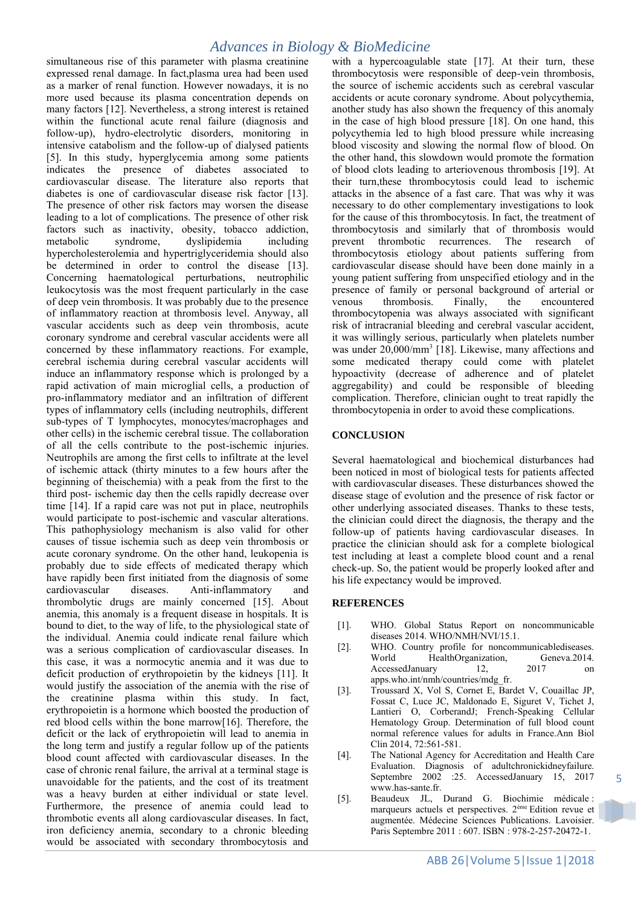## *Advances in Biology & BioMedicine*

simultaneous rise of this parameter with plasma creatinine expressed renal damage. In fact,plasma urea had been used as a marker of renal function. However nowadays, it is no more used because its plasma concentration depends on many factors [12]. Nevertheless, a strong interest is retained within the functional acute renal failure (diagnosis and follow-up), hydro-electrolytic disorders, monitoring in intensive catabolism and the follow-up of dialysed patients [5]. In this study, hyperglycemia among some patients indicates the presence of diabetes associated to cardiovascular disease. The literature also reports that diabetes is one of cardiovascular disease risk factor [13]. The presence of other risk factors may worsen the disease leading to a lot of complications. The presence of other risk factors such as inactivity, obesity, tobacco addiction, metabolic syndrome, dyslipidemia including hypercholesterolemia and hypertriglyceridemia should also be determined in order to control the disease [13]. Concerning haematological perturbations, neutrophilic leukocytosis was the most frequent particularly in the case of deep vein thrombosis. It was probably due to the presence of inflammatory reaction at thrombosis level. Anyway, all vascular accidents such as deep vein thrombosis, acute coronary syndrome and cerebral vascular accidents were all concerned by these inflammatory reactions. For example, cerebral ischemia during cerebral vascular accidents will induce an inflammatory response which is prolonged by a rapid activation of main microglial cells, a production of pro-inflammatory mediator and an infiltration of different types of inflammatory cells (including neutrophils, different sub-types of T lymphocytes, monocytes/macrophages and other cells) in the ischemic cerebral tissue. The collaboration of all the cells contribute to the post-ischemic injuries. Neutrophils are among the first cells to infiltrate at the level of ischemic attack (thirty minutes to a few hours after the beginning of theischemia) with a peak from the first to the third post- ischemic day then the cells rapidly decrease over time [14]. If a rapid care was not put in place, neutrophils would participate to post-ischemic and vascular alterations. This pathophysiology mechanism is also valid for other causes of tissue ischemia such as deep vein thrombosis or acute coronary syndrome. On the other hand, leukopenia is probably due to side effects of medicated therapy which have rapidly been first initiated from the diagnosis of some cardiovascular diseases. Anti-inflammatory and thrombolytic drugs are mainly concerned [15]. About anemia, this anomaly is a frequent disease in hospitals. It is bound to diet, to the way of life, to the physiological state of the individual. Anemia could indicate renal failure which was a serious complication of cardiovascular diseases. In this case, it was a normocytic anemia and it was due to deficit production of erythropoietin by the kidneys [11]. It would justify the association of the anemia with the rise of the creatinine plasma within this study. In fact, erythropoietin is a hormone which boosted the production of red blood cells within the bone marrow[16]. Therefore, the deficit or the lack of erythropoietin will lead to anemia in the long term and justify a regular follow up of the patients blood count affected with cardiovascular diseases. In the case of chronic renal failure, the arrival at a terminal stage is unavoidable for the patients, and the cost of its treatment was a heavy burden at either individual or state level. Furthermore, the presence of anemia could lead to thrombotic events all along cardiovascular diseases. In fact, iron deficiency anemia, secondary to a chronic bleeding would be associated with secondary thrombocytosis and

with a hypercoagulable state [17]. At their turn, these thrombocytosis were responsible of deep-vein thrombosis, the source of ischemic accidents such as cerebral vascular accidents or acute coronary syndrome. About polycythemia, another study has also shown the frequency of this anomaly in the case of high blood pressure [18]. On one hand, this polycythemia led to high blood pressure while increasing blood viscosity and slowing the normal flow of blood. On the other hand, this slowdown would promote the formation of blood clots leading to arteriovenous thrombosis [19]. At their turn,these thrombocytosis could lead to ischemic attacks in the absence of a fast care. That was why it was necessary to do other complementary investigations to look for the cause of this thrombocytosis. In fact, the treatment of thrombocytosis and similarly that of thrombosis would prevent thrombotic recurrences. The research of thrombocytosis etiology about patients suffering from cardiovascular disease should have been done mainly in a young patient suffering from unspecified etiology and in the presence of family or personal background of arterial or venous thrombosis. Finally, the encountered thrombocytopenia was always associated with significant risk of intracranial bleeding and cerebral vascular accident, it was willingly serious, particularly when platelets number was under 20,000/mm<sup>3</sup> [18]. Likewise, many affections and some medicated therapy could come with platelet hypoactivity (decrease of adherence and of platelet aggregability) and could be responsible of bleeding complication. Therefore, clinician ought to treat rapidly the thrombocytopenia in order to avoid these complications.

## **CONCLUSION**

Several haematological and biochemical disturbances had been noticed in most of biological tests for patients affected with cardiovascular diseases. These disturbances showed the disease stage of evolution and the presence of risk factor or other underlying associated diseases. Thanks to these tests, the clinician could direct the diagnosis, the therapy and the follow-up of patients having cardiovascular diseases. In practice the clinician should ask for a complete biological test including at least a complete blood count and a renal check-up. So, the patient would be properly looked after and his life expectancy would be improved.

#### **REFERENCES**

- [1]. WHO. Global Status Report on noncommunicable diseases 2014. WHO/NMH/NVI/15.1.
- [2]. WHO. Country profile for noncommunicablediseases. World HealthOrganization, Geneva.2014. AccessedJanuary 12, 2017 on apps.who.int/nmh/countries/mdg\_fr.
- [3]. Troussard X, Vol S, Cornet E, Bardet V, Couaillac JP, Fossat C, Luce JC, Maldonado E, Siguret V, Tichet J, Lantieri O, CorberandJ; French-Speaking Cellular Hematology Group. Determination of full blood count normal reference values for adults in France.Ann Biol Clin 2014, 72:561-581.
- [4]. The National Agency for Accreditation and Health Care Evaluation. Diagnosis of adultchronickidneyfailure. Septembre 2002 :25. AccessedJanuary 15, 2017 www.has-sante.fr.
- [5]. Beaudeux JL, Durand G. Biochimie médicale : marqueurs actuels et perspectives. 2ème Edition revue et augmentée. Médecine Sciences Publications. Lavoisier. Paris Septembre 2011 : 607. ISBN : 978-2-257-20472-1.

5